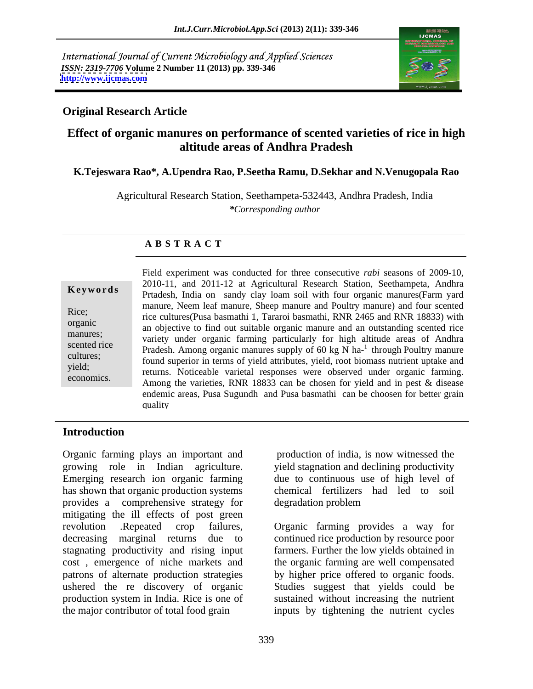International Journal of Current Microbiology and Applied Sciences *ISSN: 2319-7706* **Volume 2 Number 11 (2013) pp. 339-346 <http://www.ijcmas.com>**



# **Original Research Article**

# **Effect of organic manures on performance of scented varieties of rice in high altitude areas of Andhra Pradesh**

### **K.Tejeswara Rao\*, A.Upendra Rao, P.Seetha Ramu, D.Sekhar and N.Venugopala Rao**

Agricultural Research Station, Seethampeta-532443, Andhra Pradesh, India *\*Corresponding author* 

## **A B S T R A C T**

**Keywords** Prtadesh, India on sandy clay loam soil with four organic manures(Farm yard Rice;<br>
rice cultures(Pusa basmathi 1, Tararoi basmathi, RNR 2465 and RNR 18833) with organic<br>
an objective to find out suitable organic manure and an outstanding scented rice manures;<br>variety under organic farming particularly for high altitude areas of Andhra scented rice<br>
Pradesh. Among organic manures supply of  $60 \text{ kg N} \text{ ha}^{-1}$  through Poultry manure cultures;<br>found superior in terms of yield attributes, yield, root biomass nutrient uptake and yield; returns. Noticeable varietal responses were observed under organic farming. economics.<br>Among the varieties, RNR 18833 can be chosen for yield and in pest & disease Field experiment was conducted for three consecutive *rabi* seasons of 2009-10, 2010-11, and 2011-12 at Agricultural Research Station, Seethampeta, Andhra manure, Neem leaf manure, Sheep manure and Poultry manure) and four scented through Poultry manure endemic areas, Pusa Sugundh and Pusa basmathi can be choosen for better grain quality

# **Introduction**

Organic farming plays an important and growing role in Indian agriculture. yield stagnation and declining productivity Emerging research ion organic farming lue to continuous use of high level of has shown that organic production systems chemical fertilizers had led to soil provides a comprehensive strategy for mitigating the ill effects of post green revolution .Repeated crop failures, decreasing marginal returns due to continued rice production by resource poor stagnating productivity and rising input farmers. Further the low yields obtained in cost , emergence of niche markets and the organic farming are well compensated patrons of alternate production strategies by higher price offered to organic foods. ushered the re discovery of organic Studies suggest that yields could be production system in India. Rice is one of

 production of india, is now witnessed the degradation problem

the major contributor of total food grain inputs by tightening the nutrient cycles Organic farming provides <sup>a</sup> way for sustained without increasing the nutrient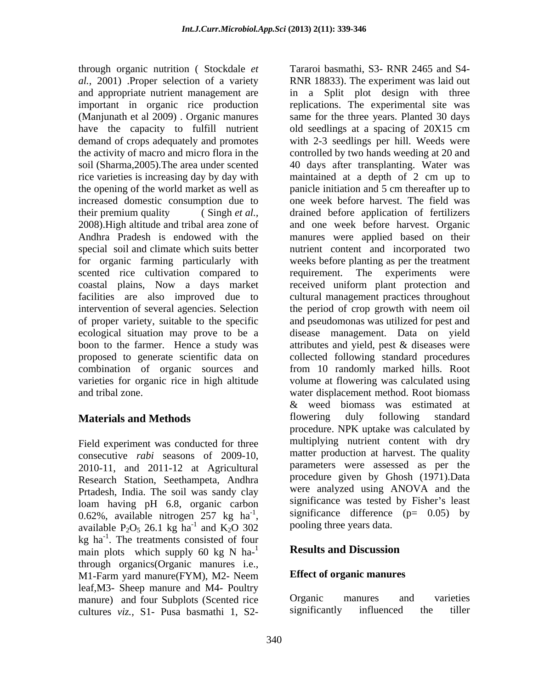through organic nutrition ( Stockdale *et al.,* 2001) .Proper selection of a variety RNR 18833). The experiment was laid out rice varieties is increasing day by day with the opening of the world market as well as panicle initiation and 5 cm thereafter up to increased domestic consumption due to for organic farming particularly with scented rice cultivation compared to requirement. The experiments were coastal plains, Now a days market

Field experiment was conducted for three consecutive *rabi* seasons of 2009-10, 2010-11, and 2011-12 at Agricultural Research Station, Seethampeta, Andhra Prtadesh, India. The soil was sandy clay loam having pH 6.8, organic carbon 0.62%, available nitrogen 257 kg ha<sup>-1</sup>, available P<sub>2</sub>O<sub>5</sub> 26.1 kg ha<sup>-1</sup> and K<sub>2</sub>O 302 0.62%, available nitrogen 257 kg ha<sup>-1</sup>, significance difference (p= 0.05) by available P<sub>2</sub>O<sub>5</sub> 26.1 kg ha<sup>-1</sup> and K<sub>2</sub>O 302 pooling three years data.  $kg$  ha<sup>-1</sup>. The treatments consisted of four main plots which supply 60 kg N  $\text{ha}^{-1}$  Results and Discussion through organics(Organic manures i.e., M1-Farm yard manure(FYM), M2- Neem **Effect of organic manures** leaf, M3- Sheep manure and M4- Poultry<br>manure) and four Subplots (Scented rice beganic manures and varieties manure) and four Subplots (Scented rice<br>
cultures viz S1- Pusa basmathi 1 S2- significantly influenced the tiller

and appropriate nutrient management are in a Split plot design with three important in organic rice production replications. The experimental site was (Manjunath et al 2009) . Organic manures same for the three years. Planted 30 days have the capacity to fulfill nutrient old seedlings at a spacing of 20X15 cm demand of crops adequately and promotes with 2-3 seedlings per hill. Weeds were the activity of macro and micro flora in the controlled by two hands weeding at 20 and soil (Sharma,2005).The area under scented 40 days after transplanting. Water was their premium quality ( Singh *et al.,* drained before application of fertilizers 2008).High altitude and tribal area zone of and one week before harvest. Organic Andhra Pradesh is endowed with the manures were applied based on their special soil and climate which suits better nutrient content and incorporated two facilities are also improved due to cultural management practices throughout intervention of several agencies. Selection the period of crop growth with neem oil of proper variety, suitable to the specific and pseudomonas was utilized for pest and ecological situation may prove to be a disease management. Data on yield boon to the farmer. Hence a study was attributes and yield, pest & diseases were proposed to generate scientific data on collected following standard procedures combination of organic sources and from 10 randomly marked hills. Root varieties for organic rice in high altitude volume at flowering was calculated using and tribal zone. water displacement method. Root biomass **Materials and Methods Example 20 Example 20 EXECUS** flowering duly following standard -1 significance difference (p= 0.05) by <sup>-1</sup> and  $K_2O$  302 pooling three years data. and  $K_2O$  302 pooling three years data. through ognation (Stockhole as Tararoi basmathi, S3. EWR 2465 and S4-<br>Hotel and pappering turning measurement was in a Spitt plot disign with three pappering measurement in a spin is the production in a Spitt plot disign w maintained at a depth of 2 cm up to panicle initiation and 5 cm thereafter up to one week before harvest. The field was weeks before planting as per the treatment requirement. The experiments were received uniform plant protection and & weed biomass was estimated at flowering duly following standard procedure. NPK uptake was calculated by multiplying nutrient content with dry matter production at harvest. The quality parameters were assessed as per the procedure given by Ghosh (1971).Data were analyzed using ANOVA and the significance was tested by Fisher's least

# **Results and Discussion**

### **Effect of organic manures**

Organic manures and varieties significantly influenced the tiller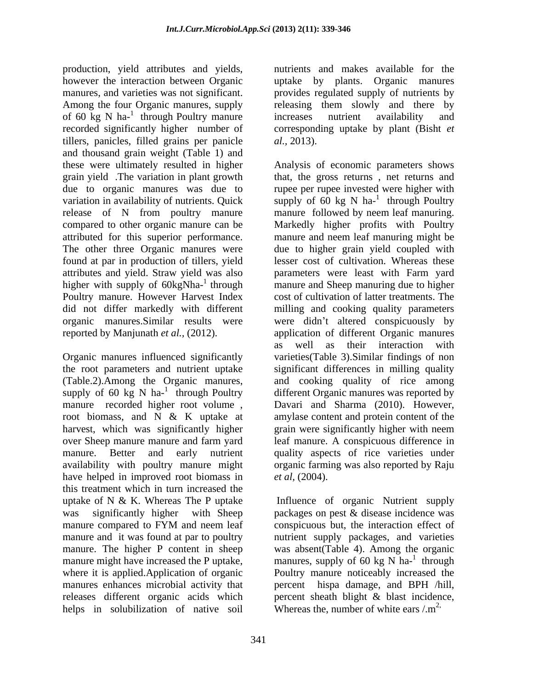production, yield attributes and yields, however the interaction between Organic uptake by plants. Organic manures manures, and varieties was not significant. <br>Among the four Organic manures, supply are releasing them slowly and there by of  $60 \text{ kg} \text{ N} \text{ ha}^{-1}$  through Poultry manure increases nutrient availability and recorded significantly higher number of corresponding uptake by plant (Bisht *et*  tillers, panicles, filled grains per panicle *al.*, 2013). and thousand grain weight (Table 1) and these were ultimately resulted in higher Analysis of economic parameters shows grain yield .The variation in plant growth that, the gross returns , net returns and due to organic manures was due to rupee per rupee invested were higher with variation in availability of nutrients. Quick supply of  $60 \text{ kg N}$  ha-<sup>1</sup> through Poultry release of N from poultry manure manure followed by neem leaf manuring. compared to other organic manure can be Markedly higher profits with Poultry attributed for this superior performance. manure and neem leaf manuring might be The other three Organic manures were due to higher grain yield coupled with found at par in production of tillers, yield attributes and yield. Straw yield was also parameters were least with Farm yard higher with supply of  $60kgNha^{-1}$  through Poultry manure. However Harvest Index did not differ markedly with different milling and cooking quality parameters organic manures. Similar results were were didn't altered conspicuously by reported by Manjunath *et al.,* (2012). application of different Organic manures

Organic manures influenced significantly have helped in improved root biomass in *et al.* (2004). this treatment which in turn increased the uptake of N & K. Whereas The P uptake Influence of organic Nutrient supply was significantly higher with Sheep packages on pest & disease incidence was manure compared to FYM and neem leaf conspicuous but, the interaction effect of manure and it was found at par to poultry hutrient supply packages, and varieties manure. The higher P content in sheep manure might have increased the P uptake, manures, supply of 60 kg N ha- $^1$  through where it is applied. Application of organic Poultry manure noticeably increased the manures enhances microbial activity that percent hispa damage, and BPH /hill, releases different organic acids which percent sheath blight & blast incidence, helps in solubilization of native soil

through Poultry manure increases nutrient availability and nutrients and makes available for the provides regulated supply of nutrients by releasing them slowly and there by increases nutrient availability and *al.,* 2013).

the root parameters and nutrient uptake significant differences in milling quality (Table.2).Among the Organic manures, and cooking quality of rice among supply of 60 kg N ha-<sup>1</sup> through Poultry different Organic manures was reported by through Poultry different Organic manures was reported by manure recorded higher root volume , Davari and Sharma (2010). However, root biomass, and N & K uptake at amylase content and protein content of the harvest, which was significantly higher grain were significantly higher with neem over Sheep manure manure and farm yard leaf manure. A conspicuous difference in manure. Better and early nutrient quality aspects of rice varieties under availability with poultry manure might organic farming was also reported by Raju through Poultry manure followed by neem leaf manuring. lesser cost of cultivation. Whereas these manure and Sheep manuring due to higher cost of cultivation of latter treatments. The as well as their interaction with varieties(Table 3).Similar findings of non and cooking quality of rice among *et al,* (2004).

> conspicuous but, the interaction effect of was absent(Table 4). Among the organic through Whereas the, number of white ears  $\langle m^2 \rangle$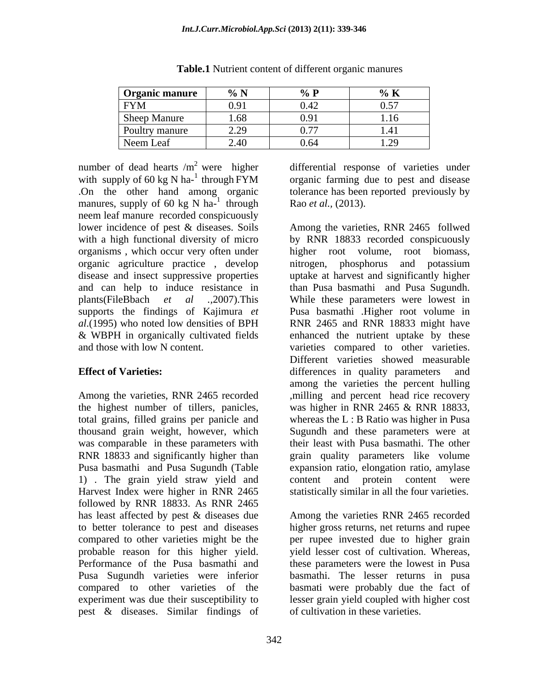| <b>Organic manure</b> | 0/ N <sub>1</sub><br>70 <sub>1</sub>                                        | 0/7<br>70 L         | $\sqrt{0}$ IV                                |
|-----------------------|-----------------------------------------------------------------------------|---------------------|----------------------------------------------|
| <b>FYM</b>            | $\mathbf{v} \cdot \mathbf{v}$                                               | 0.42                | 0.57                                         |
| <b>Sheep Manure</b>   | $\sqrt{Q}$                                                                  | $\Omega$ Q1<br>0.71 | 1.1 <sub>c</sub><br>$\overline{a}$<br>1. I V |
| Poultry manure        | $\Omega$<br>$\overline{\phantom{m}}\cdot\overline{\phantom{m}}\hspace{2cm}$ | 0.77<br>$V \cdot I$ | 1.41                                         |
| Neem Leaf             |                                                                             | 0.64                | 1.20<br>$\sqrt{1.4}$                         |

**Table.1** Nutrient content of different organic manures

number of dead hearts  $/m^2$  were higher differential response of varieties under with supply of 60 kg N ha- $^1$  through FYM .On the other hand among organic tolerance has been reported previously by manures, supply of 60 kg N ha-<sup>1</sup> through neem leaf manure recorded conspicuously organic agriculture practice , develop

total grains, filled grains per panicle and thousand grain weight, however, which was comparable in these parameters with 1) The grain yield straw yield and content and protein content were followed by RNR 18833. As RNR 2465 probable reason for this higher yield. compared to other varieties of the pest & diseases. Similar findings of

through Rao *et al.*, (2013). organic farming due to pest and disease Rao *et al.,* (2013).

lower incidence of pest & diseases. Soils Among the varieties, RNR 2465 follwed with a high functional diversity of micro by RNR 18833 recorded conspicuously organisms , which occur very often under higher root volume, root biomass, disease and insect suppressive properties uptake at harvest and significantly higher and can help to induce resistance in than Pusa basmathi and Pusa Sugundh. plants(FileBbach *et al .,*2007).This While these parameters were lowest in supports the findings of Kajimura *et*  Pusa basmathi .Higher root volume in *al*.(1995) who noted low densities of BPH RNR 2465 and RNR 18833 might have & WBPH in organically cultivated fields enhanced the nutrient uptake by these and those with low N content. varieties compared to other varieties. **Effect of Varieties:** differences in quality parameters and Among the varieties, RNR 2465 recorded , milling and percent head rice recovery the highest number of tillers, panicles, was higher in RNR 2465 & RNR 18833, RNR 18833 and significantly higher than grain quality parameters like volume Pusa basmathi and Pusa Sugundh (Table expansion ratio, elongation ratio, amylase Harvest Index were higher in RNR 2465 statistically similar in all the four varieties. nitrogen, phosphorus and potassium Different varieties showed measurable among the varieties the percent hulling whereas the L : B Ratio was higher in Pusa Sugundh and these parameters were at their least with Pusa basmathi. The other content and protein content were

has least affected by pest & diseases due Among the varieties RNR 2465 recorded to better tolerance to pest and diseases higher gross returns, net returns and rupee compared to other varieties might be the per rupee invested due to higher grain Performance of the Pusa basmathi and these parameters were the lowest in Pusa Pusa Sugundh varieties were inferior basmathi. The lesser returns in pusa experiment was due their susceptibility to lesser grain yield coupled with higher cost yield lesser cost of cultivation. Whereas, basmati were probably due the fact of of cultivation in these varieties.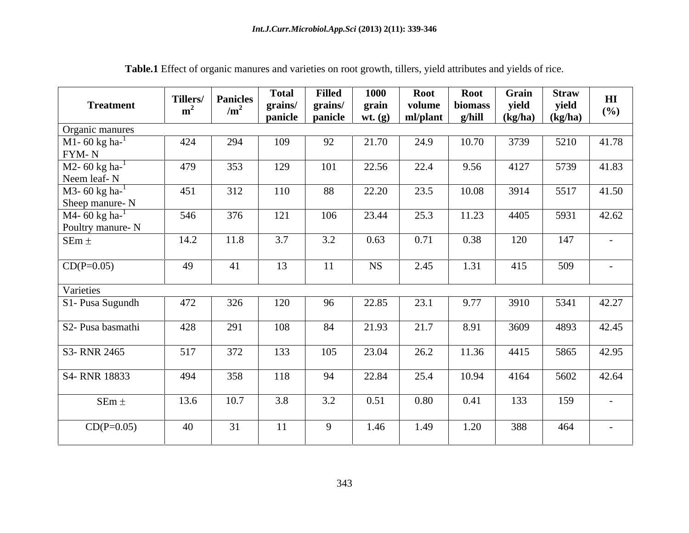| <b>Treatment</b>                                                          | Tillers/<br>m <sup>2</sup> | <b>Panicles</b><br>/m <sup>2</sup> | <b>Total</b><br>grains/<br>panicle | <b>Filled</b><br>grains/<br>panicle | 1000<br>grain<br>wt. (g) | <b>Root</b><br>volume<br>ml/plant | <b>Root</b><br>biomass<br>g/hill | Grain<br>yield<br>(kg/ha) | <b>Straw</b><br>yield<br>(kg/ha) | H I<br>(%)               |
|---------------------------------------------------------------------------|----------------------------|------------------------------------|------------------------------------|-------------------------------------|--------------------------|-----------------------------------|----------------------------------|---------------------------|----------------------------------|--------------------------|
| Organic manures                                                           |                            |                                    |                                    |                                     |                          |                                   |                                  |                           |                                  |                          |
| M1- 60 kg ha- $^{1}$<br>FYM-N                                             | 424                        | 294                                | 109                                | 92                                  | 21.70                    | 24.9                              | 10.70                            | 3739                      | 5210                             | 41.78                    |
| $M2 - 60$ kg ha- $^{-1}$<br>Neem leaf-N                                   | 479                        | 353                                | 129                                | 101                                 | 22.56                    | 22.4                              | 9.56                             | 4127                      | 5739                             | 41.83                    |
| $\overline{\text{M3-60 kg}}$ ha- $\textsuperscript{1}$<br>Sheep manure- N | 451                        | 312                                | 110                                | 88                                  | 22.20                    | 23.5                              | 10.08                            | 3914                      | 5517                             | 41.50                    |
| M4- 60 kg ha- $^{1}$<br>Poultry manure-N                                  | 546                        | 376                                | 121                                | 106                                 | 23.44                    | 25.3                              | 11.23                            | 4405                      | 5931                             | 42.62                    |
| SEm $\pm$                                                                 | 14.2                       | 11.8                               | 3.7                                | 3.2                                 | 0.63                     | 0.71                              | 0.38                             | 120                       | 147                              | $\overline{\phantom{0}}$ |
| $CD(P=0.05)$                                                              | 49                         | 41                                 | 13                                 |                                     | <b>NS</b>                | 2.45                              | 1.31                             | 415                       | 509                              | $\sim$                   |
| Varieties                                                                 |                            |                                    |                                    |                                     |                          |                                   |                                  |                           |                                  |                          |
| S1- Pusa Sugundh                                                          | 472                        | 326                                | 120                                | 96                                  | 22.85                    | 23.1                              | 9.77                             | 3910                      | 5341                             | 42.27                    |
| S2- Pusa basmathi                                                         | 428                        | 291                                | 108                                | 84                                  | 21.93                    | 21.7                              | 8.91                             | 3609                      | 4893                             | 42.45                    |
| S3-RNR 2465                                                               | 517                        | 372                                | 133                                | 105                                 | 23.04                    | 26.2                              | 11.36                            | 4415                      | 5865                             | 42.95                    |
| S4-RNR 18833                                                              | 494                        | 358                                | 118                                | 94                                  | 22.84                    | 25.4                              | 10.94                            | 4164                      | 5602                             | 42.64                    |
| $SEm \pm$                                                                 | 13.6                       | 10.7                               | 3.8                                | 3.2                                 | 0.51                     | 0.80                              | 0.41                             | 133                       | 159                              |                          |
| $CD(P=0.05)$                                                              | 40                         | 31                                 | 11                                 | $\overline{9}$                      | 1.46                     | 1.49                              | 1.20                             | 388                       | 464                              | $\sim$                   |

**Table.1** Effect of organic manures and varieties on root growth, tillers, yield attributes and yields of rice.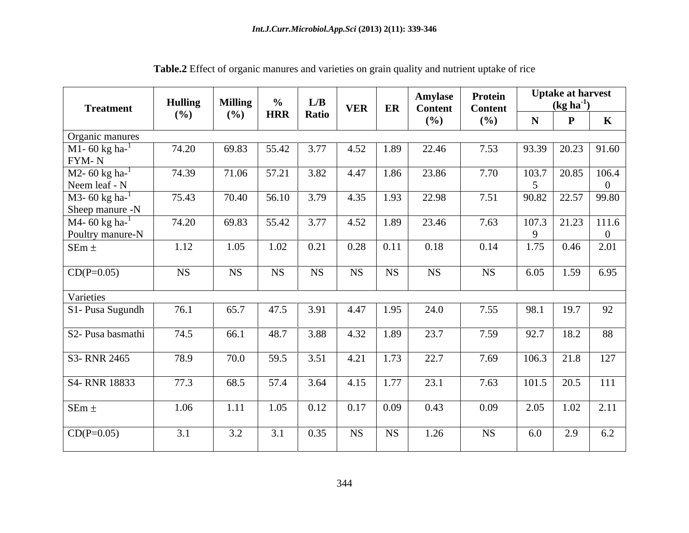| <b>Treatment</b>                                            | <b>Hulling</b> | <b>Milling</b> | $\frac{\%}{HRR}$ | $\begin{array}{ c c } \hline L/B \\ \hline \text{Ratio} \end{array}$ |      |                       | <b>Amylase</b><br>VER   ER   Content | Protein<br><b>Content</b><br>$($ %) | <b>Uptake at harvest</b><br>$(kg ha-1)$ |                                                                                    |  |  |  |
|-------------------------------------------------------------|----------------|----------------|------------------|----------------------------------------------------------------------|------|-----------------------|--------------------------------------|-------------------------------------|-----------------------------------------|------------------------------------------------------------------------------------|--|--|--|
|                                                             | $($ %)         | (%)            |                  |                                                                      |      |                       | (%)                                  |                                     |                                         |                                                                                    |  |  |  |
|                                                             |                |                |                  |                                                                      |      |                       |                                      |                                     |                                         |                                                                                    |  |  |  |
| Organic manures<br>M1- 60 kg ha- <sup>1</sup><br>FYM- N     | 74.20          | 69.83          | 55.42            | 3.77                                                                 | 4.52 | 1.89                  | 22.46                                | 7.53                                |                                         | $\begin{array}{ c c c c c c c c } \hline 93.39 & 20.23 & 91.60 \hline \end{array}$ |  |  |  |
| $M2 - 60$ kg ha- $^{-1}$<br>Neem leaf - N                   | 74.39          |                |                  | 71.06   57.21   3.82   4.47   1.86                                   |      |                       | 23.86                                | 7.70                                |                                         | $103.7$ 20.85 106.4                                                                |  |  |  |
| M3- 60 kg ha- $^{1}$                                        | 75.43          |                |                  | 70.40   56.10   3.79   4.35   1.93                                   |      |                       | 22.98                                | 7.51                                |                                         | $90.82$ 22.57 99.80                                                                |  |  |  |
| Sheep manure -N<br>M4- 60 kg ha- $^{1}$<br>Poultry manure-N | 74.20          |                |                  | 69.83   55.42   3.77                                                 |      | $4.52$   1.89         | 23.46                                | 7.63                                |                                         | $107.3$   21.23   111.6                                                            |  |  |  |
| $SEm \pm$                                                   | 1.12           | 1.05           |                  | $1.02 \quad 0.21$                                                    |      | $0.28$ 0.11           | 0.18                                 | 0.14                                |                                         | $1.75$   0.46   2.01                                                               |  |  |  |
| $CD(P=0.05)$                                                | <b>NS</b>      | <b>NS</b>      | <b>NS</b>        | <b>NS</b>                                                            | NS   | $ $ NS $ $            | $_{\rm NS}$                          | <b>NS</b>                           |                                         | $6.05$   1.59   6.95                                                               |  |  |  |
| Varieties                                                   |                |                |                  |                                                                      |      |                       |                                      |                                     |                                         |                                                                                    |  |  |  |
| S1- Pusa Sugundh                                            | 76.1           | 65.7           | 47.5             | 3.91                                                                 | 4.47 | 1.95                  | 24.0                                 | 7.55                                | 98.1                                    | 19.7 92                                                                            |  |  |  |
| S2- Pusa basmathi                                           | 74.5           | 66.1           | 48.7             | 3.88                                                                 |      | $4.32 \mid 1.89 \mid$ | 23.7                                 | 7.59                                |                                         | $92.7$ 18.2 88                                                                     |  |  |  |
| S3- RNR 2465                                                | 78.9           | 70.0           | 59.5             | 3.51                                                                 |      | $4.21$ 1.73           | 22.7                                 | 7.69                                |                                         | $106.3$ 21.8 127                                                                   |  |  |  |
| S4- RNR 18833                                               | 77.3           | 68.5           | 57.4             |                                                                      |      |                       | 3.64 4.15 1.77 23.1                  | 7.63                                |                                         | $101.5$ 20.5 111                                                                   |  |  |  |
| $SEm \pm$                                                   | 1.06           | 1.11           |                  | $1.05$ 0.12 0.17 0.09                                                |      |                       | 0.43                                 | 0.09                                |                                         | $2.05$   1.02   2.11                                                               |  |  |  |
| $CD(P=0.05)$                                                | 3.1            | 3.2            | 3.1              | 0.35                                                                 |      |                       | NS   NS   1.26                       | <b>NS</b>                           |                                         | 6.0   2.9   6.2                                                                    |  |  |  |

**Table.2** Effect of organic manures and varieties on grain quality and nutrient uptake of rice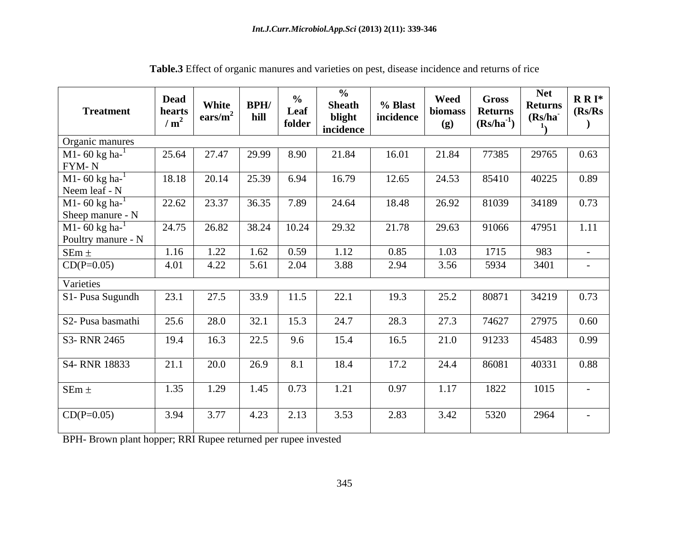| <b>Treatment</b>                                     | <b>Dead</b><br>hearts  <br>/m <sup>2</sup> | White $\vert$ BPH/<br>$\vert \text{ears/m}^2 \vert$ hill |                                                                       | Leaf<br>folder | Sheath<br>blight<br>incidence | % Blast<br>incidence | Weed<br>(g) | $\begin{array}{ l l }\hline \textbf{Weed} & \textbf{Gross} \\\hline \textbf{biomass} & \textbf{Returns} \\\hline \textbf{(g)} & \textbf{(Rs/ha}^{-1})\hline \end{array}$ | Net<br><b>Returns</b><br>(Rs/ha) | $R R I^*$<br>(Rs/Rs) |
|------------------------------------------------------|--------------------------------------------|----------------------------------------------------------|-----------------------------------------------------------------------|----------------|-------------------------------|----------------------|-------------|--------------------------------------------------------------------------------------------------------------------------------------------------------------------------|----------------------------------|----------------------|
| Organic manures                                      |                                            |                                                          |                                                                       |                |                               |                      |             |                                                                                                                                                                          |                                  |                      |
| $M1 - 60$ kg ha- $1$<br>FYM- N                       |                                            | 25.64 27.47 29.99                                        |                                                                       | 8.90           | 21.84                         | 16.01                | 21.84       | 77385                                                                                                                                                                    | 29765                            | 0.63                 |
| M1- $60 \text{ kg} \text{ ha}^{-1}$<br>Neem leaf - N |                                            | $18.18$   20.14   25.39   6.94                           |                                                                       |                | 16.79                         | 12.65                | 24.53       | 85410                                                                                                                                                                    | 40225                            | 0.89                 |
| M1-60 $kg$ ha- $^{-1}$<br>Sheep manure - N           |                                            | 22.62   23.37   36.35   7.89                             |                                                                       |                | 24.64                         | 18.48                | 26.92       | 81039                                                                                                                                                                    | 34189 0.73                       |                      |
| M1- 60 kg ha- $^{1}$<br>Poultry manure - N           |                                            | 24.75   26.82   38.24   10.24                            |                                                                       |                | 29.32                         | 21.78                | 29.63       | 91066                                                                                                                                                                    | 47951 1.11                       |                      |
| $SEm \pm$                                            | 1.16                                       |                                                          | 1.22   1.62   0.59                                                    |                | 1.12                          | 0.85                 | 1.03        | 1715                                                                                                                                                                     | 983                              |                      |
| $CD(P=0.05)$                                         |                                            | 4.01 4.22 5.61                                           |                                                                       | 2.04           | 3.88                          | 2.94                 | 3.56        | 5934                                                                                                                                                                     | 3401                             | $\sim 100$ m $^{-1}$ |
| Varieties                                            |                                            |                                                          |                                                                       |                |                               |                      |             |                                                                                                                                                                          |                                  |                      |
| S1- Pusa Sugundh                                     | 23.1                                       | 27.5                                                     |                                                                       | 11.5           | 22.1                          | 19.3                 | 25.2        | 80871                                                                                                                                                                    | 34219 0.73                       |                      |
| S2- Pusa basmathi                                    | 25.6                                       | 28.0                                                     | 32.1                                                                  | 15.3           | 24.7                          | 28.3                 | 27.3        | 74627                                                                                                                                                                    | 27975 0.60                       |                      |
| S3- RNR 2465                                         | 19.4                                       | 16.3                                                     | 22.5                                                                  | 9.6            | 15.4                          | 16.5                 | 21.0        | 91233                                                                                                                                                                    | 45483 0.99                       |                      |
| S4-RNR 18833                                         | 21.1                                       | 20.0                                                     | 26.9                                                                  | 8.1            | 18.4                          | 17.2                 | 24.4        | 86081                                                                                                                                                                    | 40331                            | 0.88                 |
| $SEm \pm$                                            |                                            | $1.35$ 1.29                                              | $1.45$   0.73                                                         |                | 1.21                          | 0.97                 | 1.17        | 1822                                                                                                                                                                     | 1015                             | $\sim$ $-$           |
| $CD(P=0.05)$                                         | 3.94                                       | 3.77                                                     | $\begin{array}{ c c c c c } \hline 4.23 & 2.13 \\ \hline \end{array}$ |                | 3.53                          | 2.83                 | 3.42        | 5320                                                                                                                                                                     | 2964                             | $\sim$ $-$           |

**Table.3** Effect of organic manures and varieties on pest, disease incidence and returns of rice

BPH- Brown plant hopper; RRI Rupee returned per rupee invested